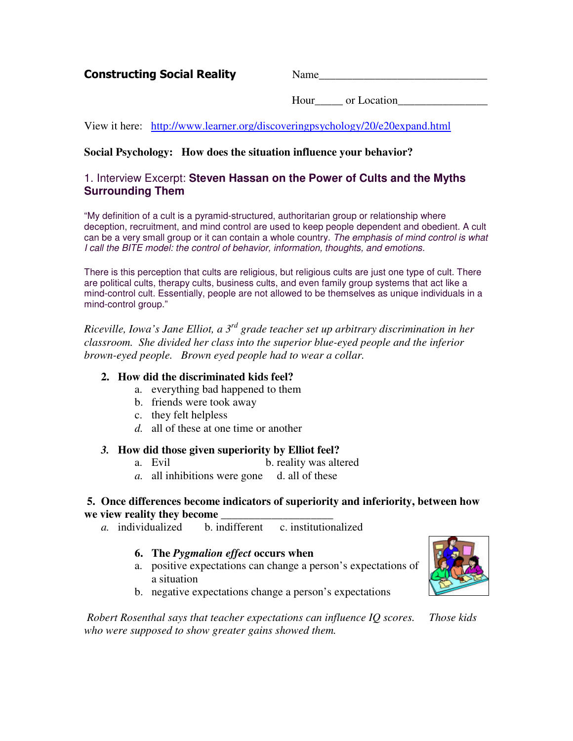Constructing Social Reality Mame

Hour or Location

View it here: http://www.learner.org/discoveringpsychology/20/e20expand.html

## **Social Psychology: How does the situation influence your behavior?**

## 1. Interview Excerpt: **Steven Hassan on the Power of Cults and the Myths Surrounding Them**

"My definition of a cult is a pyramid-structured, authoritarian group or relationship where deception, recruitment, and mind control are used to keep people dependent and obedient. A cult can be a very small group or it can contain a whole country. *The emphasis of mind control is what I call the BITE model: the control of behavior, information, thoughts, and emotions.*

There is this perception that cults are religious, but religious cults are just one type of cult. There are political cults, therapy cults, business cults, and even family group systems that act like a mind-control cult. Essentially, people are not allowed to be themselves as unique individuals in a mind-control group."

*Riceville, Iowa's Jane Elliot, a 3 rd grade teacher set up arbitrary discrimination in her classroom. She divided her class into the superior blue-eyed people and the inferior brown-eyed people. Brown eyed people had to wear a collar.*

### **2. How did the discriminated kids feel?**

- a. everything bad happened to them
- b. friends were took away
- c. they felt helpless
- *d.* all of these at one time or another

#### *3.* **How did those given superiority by Elliot feel?**

- a. Evil b. reality was altered
- *a.* all inhibitions were gone d. all of these

# **5. Once differences become indicators of superiority and inferiority, between how we view reality they become**  $\frac{1}{a}$  individualized b. ind

**b.** indifferent c. institutionalized

#### **6. The** *Pygmalion effect* **occurs when**

a. positive expectations can change a person's expectations of a situation



b. negative expectations change a person's expectations

*Robert Rosenthal says that teacher expectations can influence IQ scores. Those kids who were supposed to show greater gains showed them.*